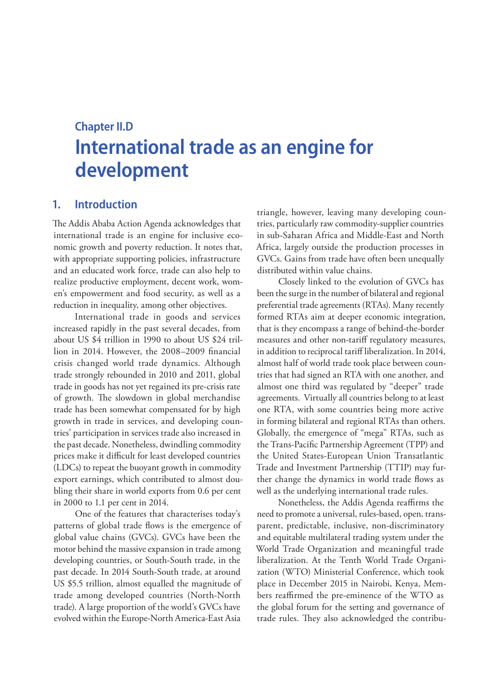# **Chapter II.D International trade as an engine for development**

## **1. Introduction**

The Addis Ababa Action Agenda acknowledges that international trade is an engine for inclusive economic growth and poverty reduction. It notes that, with appropriate supporting policies, infrastructure and an educated work force, trade can also help to realize productive employment, decent work, women's empowerment and food security, as well as a reduction in inequality, among other objectives.

International trade in goods and services increased rapidly in the past several decades, from about US \$4 trillion in 1990 to about US \$24 trillion in 2014. However, the 2008–2009 financial crisis changed world trade dynamics. Although trade strongly rebounded in 2010 and 2011, global trade in goods has not yet regained its pre-crisis rate of growth. The slowdown in global merchandise trade has been somewhat compensated for by high growth in trade in services, and developing countries' participation in services trade also increased in the past decade. Nonetheless, dwindling commodity prices make it difficult for least developed countries (LDCs) to repeat the buoyant growth in commodity export earnings, which contributed to almost doubling their share in world exports from 0.6 per cent in 2000 to 1.1 per cent in 2014.

One of the features that characterises today's patterns of global trade flows is the emergence of global value chains (GVCs). GVCs have been the motor behind the massive expansion in trade among developing countries, or South-South trade, in the past decade. In 2014 South-South trade, at around US \$5.5 trillion, almost equalled the magnitude of trade among developed countries (North-North trade). A large proportion of the world's GVCs have evolved within the Europe-North America-East Asia

triangle, however, leaving many developing countries, particularly raw commodity-supplier countries in sub-Saharan Africa and Middle-East and North Africa, largely outside the production processes in GVCs. Gains from trade have often been unequally distributed within value chains.

Closely linked to the evolution of GVCs has been the surge in the number of bilateral and regional preferential trade agreements (RTAs). Many recently formed RTAs aim at deeper economic integration, that is they encompass a range of behind-the-border measures and other non-tariff regulatory measures, in addition to reciprocal tariff liberalization. In 2014, almost half of world trade took place between countries that had signed an RTA with one another, and almost one third was regulated by "deeper" trade agreements. Virtually all countries belong to at least one RTA, with some countries being more active in forming bilateral and regional RTAs than others. Globally, the emergence of "mega" RTAs, such as the Trans-Pacific Partnership Agreement (TPP) and the United States-European Union Transatlantic Trade and Investment Partnership (TTIP) may further change the dynamics in world trade flows as well as the underlying international trade rules.

Nonetheless, the Addis Agenda reaffirms the need to promote a universal, rules-based, open, transparent, predictable, inclusive, non-discriminatory and equitable multilateral trading system under the World Trade Organization and meaningful trade liberalization. At the Tenth World Trade Organization (WTO) Ministerial Conference, which took place in December 2015 in Nairobi, Kenya, Members reaffirmed the pre-eminence of the WTO as the global forum for the setting and governance of trade rules. They also acknowledged the contribu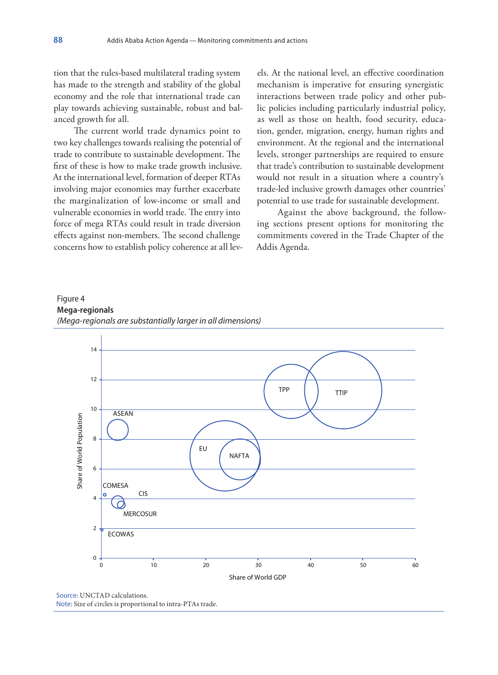tion that the rules-based multilateral trading system has made to the strength and stability of the global economy and the role that international trade can play towards achieving sustainable, robust and balanced growth for all.

The current world trade dynamics point to two key challenges towards realising the potential of trade to contribute to sustainable development. The first of these is how to make trade growth inclusive. At the international level, formation of deeper RTAs involving major economies may further exacerbate the marginalization of low-income or small and vulnerable economies in world trade. The entry into force of mega RTAs could result in trade diversion effects against non-members. The second challenge concerns how to establish policy coherence at all levels. At the national level, an effective coordination mechanism is imperative for ensuring synergistic interactions between trade policy and other public policies including particularly industrial policy, as well as those on health, food security, education, gender, migration, energy, human rights and environment. At the regional and the international levels, stronger partnerships are required to ensure that trade's contribution to sustainable development would not result in a situation where a country's trade-led inclusive growth damages other countries' potential to use trade for sustainable development.

Against the above background, the following sections present options for monitoring the commitments covered in the Trade Chapter of the Addis Agenda.

#### Figure 4 **Mega-regionals** *(Mega-regionals are substantially larger in all dimensions)*



Source: UNCTAD calculations. Note: Size of circles is proportional to intra-PTAs trade.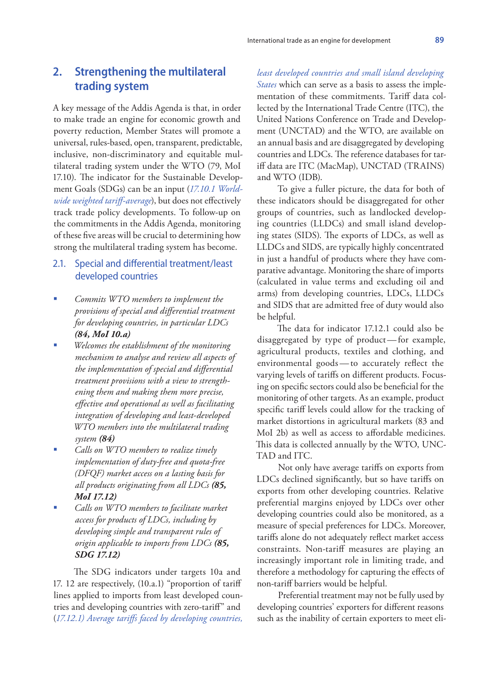# **2. Strengthening the multilateral trading system**

A key message of the Addis Agenda is that, in order to make trade an engine for economic growth and poverty reduction, Member States will promote a universal, rules-based, open, transparent, predictable, inclusive, non-discriminatory and equitable multilateral trading system under the WTO (79, MoI 17.10). The indicator for the Sustainable Development Goals (SDGs) can be an input (*17.10.1 Worldwide weighted tariff-average*), but does not effectively track trade policy developments. To follow-up on the commitments in the Addis Agenda, monitoring of these five areas will be crucial to determining how strong the multilateral trading system has become.

#### 2.1. Special and differential treatment/least developed countries

- *Commits WTO members to implement the provisions of special and differential treatment for developing countries, in particular LDCs (84, MoI 10.a)*
- *Welcomes the establishment of the monitoring mechanism to analyse and review all aspects of the implementation of special and differential treatment provisions with a view to strengthening them and making them more precise, effective and operational as well as facilitating integration of developing and least-developed WTO members into the multilateral trading system (84)*
- *Calls on WTO members to realize timely implementation of duty-free and quota-free (DFQF) market access on a lasting basis for all products originating from all LDCs (85, MoI 17.12)*
- *Calls on WTO members to facilitate market access for products of LDCs, including by developing simple and transparent rules of origin applicable to imports from LDCs (85, SDG 17.12)*

The SDG indicators under targets 10a and 17. 12 are respectively, (10.a.1) "proportion of tariff lines applied to imports from least developed countries and developing countries with zero-tariff" and (*17.12.1) Average tariffs faced by developing countries,* 

*least developed countries and small island developing States* which can serve as a basis to assess the implementation of these commitments. Tariff data collected by the International Trade Centre (ITC), the United Nations Conference on Trade and Development (UNCTAD) and the WTO, are available on an annual basis and are disaggregated by developing countries and LDCs. The reference databases for tariff data are ITC (MacMap), UNCTAD (TRAINS) and WTO (IDB).

To give a fuller picture, the data for both of these indicators should be disaggregated for other groups of countries, such as landlocked developing countries (LLDCs) and small island developing states (SIDS). The exports of LDCs, as well as LLDCs and SIDS, are typically highly concentrated in just a handful of products where they have comparative advantage. Monitoring the share of imports (calculated in value terms and excluding oil and arms) from developing countries, LDCs, LLDCs and SIDS that are admitted free of duty would also be helpful.

The data for indicator 17.12.1 could also be disaggregated by type of product—for example, agricultural products, textiles and clothing, and environmental goods—to accurately reflect the varying levels of tariffs on different products. Focusing on specific sectors could also be beneficial for the monitoring of other targets. As an example, product specific tariff levels could allow for the tracking of market distortions in agricultural markets (83 and MoI 2b) as well as access to affordable medicines. This data is collected annually by the WTO, UNC-TAD and ITC.

Not only have average tariffs on exports from LDCs declined significantly, but so have tariffs on exports from other developing countries. Relative preferential margins enjoyed by LDCs over other developing countries could also be monitored, as a measure of special preferences for LDCs. Moreover, tariffs alone do not adequately reflect market access constraints. Non-tariff measures are playing an increasingly important role in limiting trade, and therefore a methodology for capturing the effects of non-tariff barriers would be helpful.

Preferential treatment may not be fully used by developing countries' exporters for different reasons such as the inability of certain exporters to meet eli-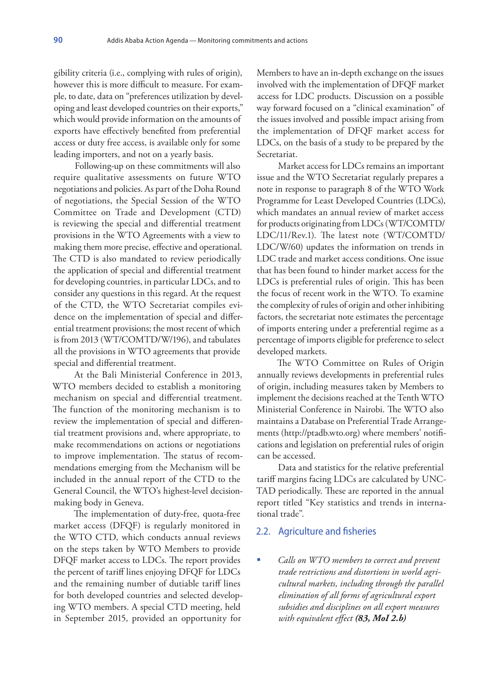gibility criteria (i.e., complying with rules of origin), however this is more difficult to measure. For example, to date, data on "preferences utilization by developing and least developed countries on their exports," which would provide information on the amounts of exports have effectively benefited from preferential access or duty free access, is available only for some leading importers, and not on a yearly basis.

Following-up on these commitments will also require qualitative assessments on future WTO negotiations and policies. As part of the Doha Round of negotiations, the Special Session of the WTO Committee on Trade and Development (CTD) is reviewing the special and differential treatment provisions in the WTO Agreements with a view to making them more precise, effective and operational. The CTD is also mandated to review periodically the application of special and differential treatment for developing countries, in particular LDCs, and to consider any questions in this regard. At the request of the CTD, the WTO Secretariat compiles evidence on the implementation of special and differential treatment provisions; the most recent of which is from 2013 (WT/COMTD/W/196), and tabulates all the provisions in WTO agreements that provide special and differential treatment.

At the Bali Ministerial Conference in 2013, WTO members decided to establish a monitoring mechanism on special and differential treatment. The function of the monitoring mechanism is to review the implementation of special and differential treatment provisions and, where appropriate, to make recommendations on actions or negotiations to improve implementation. The status of recommendations emerging from the Mechanism will be included in the annual report of the CTD to the General Council, the WTO's highest-level decisionmaking body in Geneva.

The implementation of duty-free, quota-free market access (DFQF) is regularly monitored in the WTO CTD, which conducts annual reviews on the steps taken by WTO Members to provide DFQF market access to LDCs. The report provides the percent of tariff lines enjoying DFQF for LDCs and the remaining number of dutiable tariff lines for both developed countries and selected developing WTO members. A special CTD meeting, held in September 2015, provided an opportunity for

Members to have an in-depth exchange on the issues involved with the implementation of DFQF market access for LDC products. Discussion on a possible way forward focused on a "clinical examination" of the issues involved and possible impact arising from the implementation of DFQF market access for LDCs, on the basis of a study to be prepared by the Secretariat.

Market access for LDCs remains an important issue and the WTO Secretariat regularly prepares a note in response to paragraph 8 of the WTO Work Programme for Least Developed Countries (LDCs), which mandates an annual review of market access for products originating from LDCs (WT/COMTD/ LDC/11/Rev.1). The latest note (WT/COMTD/ LDC/W/60) updates the information on trends in LDC trade and market access conditions. One issue that has been found to hinder market access for the LDCs is preferential rules of origin. This has been the focus of recent work in the WTO. To examine the complexity of rules of origin and other inhibiting factors, the secretariat note estimates the percentage of imports entering under a preferential regime as a percentage of imports eligible for preference to select developed markets.

The WTO Committee on Rules of Origin annually reviews developments in preferential rules of origin, including measures taken by Members to implement the decisions reached at the Tenth WTO Ministerial Conference in Nairobi. The WTO also maintains a Database on Preferential Trade Arrangements (http://ptadb.wto.org) where members' notifications and legislation on preferential rules of origin can be accessed.

Data and statistics for the relative preferential tariff margins facing LDCs are calculated by UNC-TAD periodically. These are reported in the annual report titled "Key statistics and trends in international trade".

#### 2.2. Agriculture and fisheries

 *Calls on WTO members to correct and prevent trade restrictions and distortions in world agricultural markets, including through the parallel elimination of all forms of agricultural export subsidies and disciplines on all export measures with equivalent effect (83, MoI 2.b)*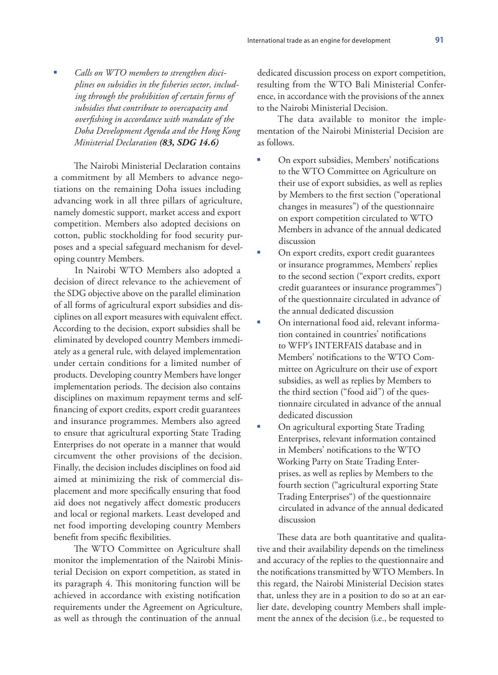*Calls on WTO members to strengthen disciplines on subsidies in the fisheries sector, including through the prohibition of certain forms of subsidies that contribute to overcapacity and overfishing in accordance with mandate of the Doha Development Agenda and the Hong Kong Ministerial Declaration (83, SDG 14.6)*

The Nairobi Ministerial Declaration contains a commitment by all Members to advance negotiations on the remaining Doha issues including advancing work in all three pillars of agriculture, namely domestic support, market access and export competition. Members also adopted decisions on cotton, public stockholding for food security purposes and a special safeguard mechanism for developing country Members.

In Nairobi WTO Members also adopted a decision of direct relevance to the achievement of the SDG objective above on the parallel elimination of all forms of agricultural export subsidies and disciplines on all export measures with equivalent effect. According to the decision, export subsidies shall be eliminated by developed country Members immediately as a general rule, with delayed implementation under certain conditions for a limited number of products. Developing country Members have longer implementation periods. The decision also contains disciplines on maximum repayment terms and selffinancing of export credits, export credit guarantees and insurance programmes. Members also agreed to ensure that agricultural exporting State Trading Enterprises do not operate in a manner that would circumvent the other provisions of the decision. Finally, the decision includes disciplines on food aid aimed at minimizing the risk of commercial displacement and more specifically ensuring that food aid does not negatively affect domestic producers and local or regional markets. Least developed and net food importing developing country Members benefit from specific flexibilities.

The WTO Committee on Agriculture shall monitor the implementation of the Nairobi Ministerial Decision on export competition, as stated in its paragraph 4. This monitoring function will be achieved in accordance with existing notification requirements under the Agreement on Agriculture, as well as through the continuation of the annual

dedicated discussion process on export competition, resulting from the WTO Bali Ministerial Conference, in accordance with the provisions of the annex to the Nairobi Ministerial Decision.

The data available to monitor the implementation of the Nairobi Ministerial Decision are as follows.

- On export subsidies, Members' notifications to the WTO Committee on Agriculture on their use of export subsidies, as well as replies by Members to the first section ("operational changes in measures") of the questionnaire on export competition circulated to WTO Members in advance of the annual dedicated discussion
- On export credits, export credit guarantees or insurance programmes, Members' replies to the second section ("export credits, export credit guarantees or insurance programmes") of the questionnaire circulated in advance of the annual dedicated discussion
- On international food aid, relevant information contained in countries' notifications to WFP's INTERFAIS database and in Members' notifications to the WTO Committee on Agriculture on their use of export subsidies, as well as replies by Members to the third section ("food aid") of the questionnaire circulated in advance of the annual dedicated discussion
- On agricultural exporting State Trading Enterprises, relevant information contained in Members' notifications to the WTO Working Party on State Trading Enterprises, as well as replies by Members to the fourth section ("agricultural exporting State Trading Enterprises") of the questionnaire circulated in advance of the annual dedicated discussion

These data are both quantitative and qualitative and their availability depends on the timeliness and accuracy of the replies to the questionnaire and the notifications transmitted by WTO Members. In this regard, the Nairobi Ministerial Decision states that, unless they are in a position to do so at an earlier date, developing country Members shall implement the annex of the decision (i.e., be requested to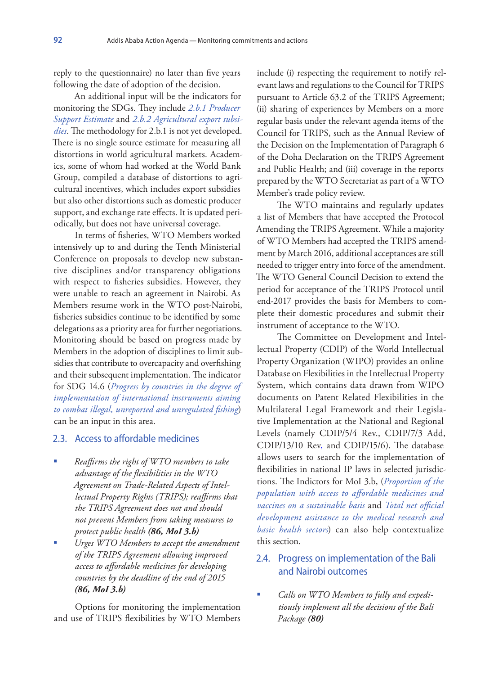reply to the questionnaire) no later than five years following the date of adoption of the decision.

An additional input will be the indicators for monitoring the SDGs. They include *2.b.1 Producer Support Estimate* and *2.b.2 Agricultural export subsidies*. The methodology for 2.b.1 is not yet developed. There is no single source estimate for measuring all distortions in world agricultural markets. Academics, some of whom had worked at the World Bank Group, compiled a database of distortions to agricultural incentives, which includes export subsidies but also other distortions such as domestic producer support, and exchange rate effects. It is updated periodically, but does not have universal coverage.

In terms of fisheries, WTO Members worked intensively up to and during the Tenth Ministerial Conference on proposals to develop new substantive disciplines and/or transparency obligations with respect to fisheries subsidies. However, they were unable to reach an agreement in Nairobi. As Members resume work in the WTO post-Nairobi, fisheries subsidies continue to be identified by some delegations as a priority area for further negotiations. Monitoring should be based on progress made by Members in the adoption of disciplines to limit subsidies that contribute to overcapacity and overfishing and their subsequent implementation. The indicator for SDG 14.6 (*Progress by countries in the degree of implementation of international instruments aiming to combat illegal, unreported and unregulated fishing*) can be an input in this area.

#### 2.3. Access to affordable medicines

- *Reaffirms the right of WTO members to take advantage of the flexibilities in the WTO Agreement on Trade-Related Aspects of Intellectual Property Rights (TRIPS); reaffirms that the TRIPS Agreement does not and should not prevent Members from taking measures to protect public health (86, MoI 3.b)*
- *Urges WTO Members to accept the amendment of the TRIPS Agreement allowing improved access to affordable medicines for developing countries by the deadline of the end of 2015 (86, MoI 3.b)*

Options for monitoring the implementation and use of TRIPS flexibilities by WTO Members include (i) respecting the requirement to notify relevant laws and regulations to the Council for TRIPS pursuant to Article 63.2 of the TRIPS Agreement; (ii) sharing of experiences by Members on a more regular basis under the relevant agenda items of the Council for TRIPS, such as the Annual Review of the Decision on the Implementation of Paragraph 6 of the Doha Declaration on the TRIPS Agreement and Public Health; and (iii) coverage in the reports prepared by the WTO Secretariat as part of a WTO Member's trade policy review.

The WTO maintains and regularly updates a list of Members that have accepted the Protocol Amending the TRIPS Agreement. While a majority of WTO Members had accepted the TRIPS amendment by March 2016, additional acceptances are still needed to trigger entry into force of the amendment. The WTO General Council Decision to extend the period for acceptance of the TRIPS Protocol until end-2017 provides the basis for Members to complete their domestic procedures and submit their instrument of acceptance to the WTO.

The Committee on Development and Intellectual Property (CDIP) of the World Intellectual Property Organization (WIPO) provides an online Database on Flexibilities in the Intellectual Property System, which contains data drawn from WIPO documents on Patent Related Flexibilities in the Multilateral Legal Framework and their Legislative Implementation at the National and Regional Levels (namely CDIP/5/4 Rev., CDIP/7/3 Add, CDIP/13/10 Rev, and CDIP/15/6). The database allows users to search for the implementation of flexibilities in national IP laws in selected jurisdictions. The Indictors for MoI 3.b, (*Proportion of the population with access to affordable medicines and vaccines on a sustainable basis* and *Total net official development assistance to the medical research and basic health sectors*) can also help contextualize this section.

## 2.4. Progress on implementation of the Bali and Nairobi outcomes

 *Calls on WTO Members to fully and expeditiously implement all the decisions of the Bali Package (80)*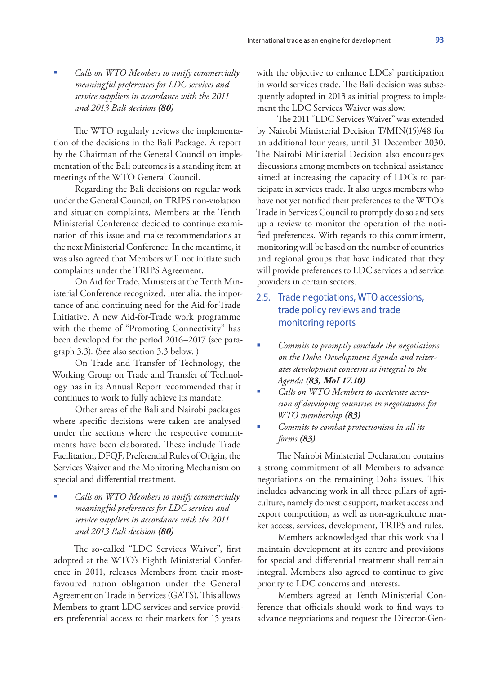*Calls on WTO Members to notify commercially meaningful preferences for LDC services and service suppliers in accordance with the 2011 and 2013 Bali decision (80)*

The WTO regularly reviews the implementation of the decisions in the Bali Package. A report by the Chairman of the General Council on implementation of the Bali outcomes is a standing item at meetings of the WTO General Council.

Regarding the Bali decisions on regular work under the General Council, on TRIPS non-violation and situation complaints, Members at the Tenth Ministerial Conference decided to continue examination of this issue and make recommendations at the next Ministerial Conference. In the meantime, it was also agreed that Members will not initiate such complaints under the TRIPS Agreement.

On Aid for Trade, Ministers at the Tenth Ministerial Conference recognized, inter alia, the importance of and continuing need for the Aid-for-Trade Initiative. A new Aid-for-Trade work programme with the theme of "Promoting Connectivity" has been developed for the period 2016–2017 (see paragraph 3.3). (See also section 3.3 below. )

On Trade and Transfer of Technology, the Working Group on Trade and Transfer of Technology has in its Annual Report recommended that it continues to work to fully achieve its mandate.

Other areas of the Bali and Nairobi packages where specific decisions were taken are analysed under the sections where the respective commitments have been elaborated. These include Trade Facilitation, DFQF, Preferential Rules of Origin, the Services Waiver and the Monitoring Mechanism on special and differential treatment.

 *Calls on WTO Members to notify commercially meaningful preferences for LDC services and service suppliers in accordance with the 2011 and 2013 Bali decision (80)*

The so-called "LDC Services Waiver", first adopted at the WTO's Eighth Ministerial Conference in 2011, releases Members from their mostfavoured nation obligation under the General Agreement on Trade in Services (GATS). This allows Members to grant LDC services and service providers preferential access to their markets for 15 years

with the objective to enhance LDCs' participation in world services trade. The Bali decision was subsequently adopted in 2013 as initial progress to implement the LDC Services Waiver was slow.

The 2011 "LDC Services Waiver" was extended by Nairobi Ministerial Decision T/MIN(15)/48 for an additional four years, until 31 December 2030. The Nairobi Ministerial Decision also encourages discussions among members on technical assistance aimed at increasing the capacity of LDCs to participate in services trade. It also urges members who have not yet notified their preferences to the WTO's Trade in Services Council to promptly do so and sets up a review to monitor the operation of the notified preferences. With regards to this commitment, monitoring will be based on the number of countries and regional groups that have indicated that they will provide preferences to LDC services and service providers in certain sectors.

## 2.5. Trade negotiations, WTO accessions, trade policy reviews and trade monitoring reports

- *Commits to promptly conclude the negotiations on the Doha Development Agenda and reiterates development concerns as integral to the Agenda (83, MoI 17.10)*
- *Calls on WTO Members to accelerate accession of developing countries in negotiations for WTO membership (83)*
- *Commits to combat protectionism in all its forms (83)*

The Nairobi Ministerial Declaration contains a strong commitment of all Members to advance negotiations on the remaining Doha issues. This includes advancing work in all three pillars of agriculture, namely domestic support, market access and export competition, as well as non-agriculture market access, services, development, TRIPS and rules.

Members acknowledged that this work shall maintain development at its centre and provisions for special and differential treatment shall remain integral. Members also agreed to continue to give priority to LDC concerns and interests.

Members agreed at Tenth Ministerial Conference that officials should work to find ways to advance negotiations and request the Director-Gen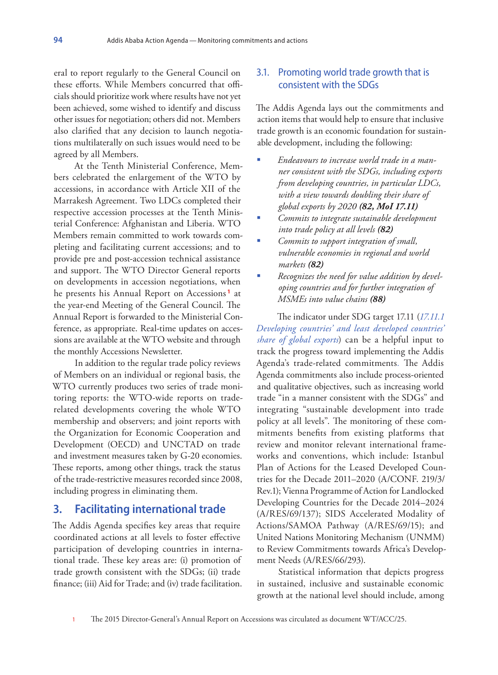eral to report regularly to the General Council on these efforts. While Members concurred that officials should prioritize work where results have not yet been achieved, some wished to identify and discuss other issues for negotiation; others did not. Members also clarified that any decision to launch negotiations multilaterally on such issues would need to be agreed by all Members.

At the Tenth Ministerial Conference, Members celebrated the enlargement of the WTO by accessions, in accordance with Article XII of the Marrakesh Agreement. Two LDCs completed their respective accession processes at the Tenth Ministerial Conference: Afghanistan and Liberia. WTO Members remain committed to work towards completing and facilitating current accessions; and to provide pre and post-accession technical assistance and support. The WTO Director General reports on developments in accession negotiations, when he presents his Annual Report on Accessions **<sup>1</sup>** at the year-end Meeting of the General Council. The Annual Report is forwarded to the Ministerial Conference, as appropriate. Real-time updates on accessions are available at the WTO website and through the monthly Accessions Newsletter.

In addition to the regular trade policy reviews of Members on an individual or regional basis, the WTO currently produces two series of trade monitoring reports: the WTO-wide reports on traderelated developments covering the whole WTO membership and observers; and joint reports with the Organization for Economic Cooperation and Development (OECD) and UNCTAD on trade and investment measures taken by G-20 economies. These reports, among other things, track the status of the trade-restrictive measures recorded since 2008, including progress in eliminating them.

## **3. Facilitating international trade**

The Addis Agenda specifies key areas that require coordinated actions at all levels to foster effective participation of developing countries in international trade. These key areas are: (i) promotion of trade growth consistent with the SDGs; (ii) trade finance; (iii) Aid for Trade; and (iv) trade facilitation.

## 3.1. Promoting world trade growth that is consistent with the SDGs

The Addis Agenda lays out the commitments and action items that would help to ensure that inclusive trade growth is an economic foundation for sustainable development, including the following:

- *Endeavours to increase world trade in a manner consistent with the SDGs, including exports from developing countries, in particular LDCs, with a view towards doubling their share of global exports by 2020 (82, MoI 17.11)*
- *Commits to integrate sustainable development into trade policy at all levels (82)*
- *Commits to support integration of small, vulnerable economies in regional and world markets (82)*
- *Recognizes the need for value addition by developing countries and for further integration of MSMEs into value chains (88)*

The indicator under SDG target 17.11 (*17.11.1 Developing countries' and least developed countries' share of global exports*) can be a helpful input to track the progress toward implementing the Addis Agenda's trade-related commitments*.* The Addis Agenda commitments also include process-oriented and qualitative objectives, such as increasing world trade "in a manner consistent with the SDGs" and integrating "sustainable development into trade policy at all levels". The monitoring of these commitments benefits from existing platforms that review and monitor relevant international frameworks and conventions, which include: Istanbul Plan of Actions for the Leased Developed Countries for the Decade 2011–2020 (A/CONF. 219/3/ Rev.1); Vienna Programme of Action for Landlocked Developing Countries for the Decade 2014–2024 (A/RES/69/137); SIDS Accelerated Modality of Actions/SAMOA Pathway (A/RES/69/15); and United Nations Monitoring Mechanism (UNMM) to Review Commitments towards Africa's Development Needs (A/RES/66/293).

Statistical information that depicts progress in sustained, inclusive and sustainable economic growth at the national level should include, among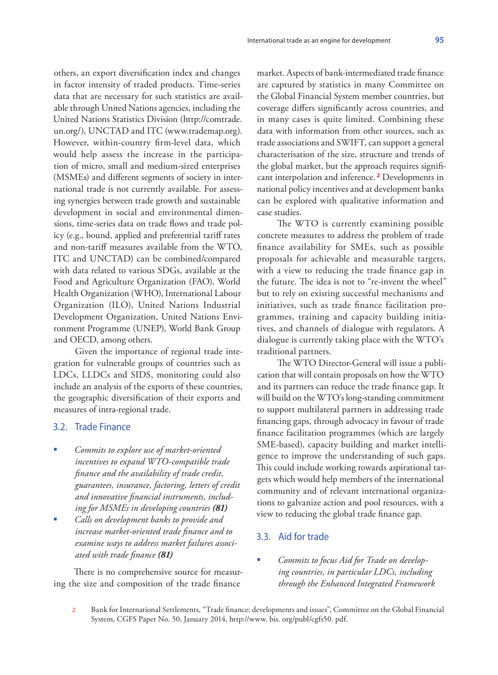others, an export diversification index and changes in factor intensity of traded products. Time-series data that are necessary for such statistics are available through United Nations agencies, including the United Nations Statistics Division (http://comtrade. un.org/), UNCTAD and ITC (www.trademap.org). However, within-country firm-level data, which would help assess the increase in the participation of micro, small and medium-sized enterprises (MSMEs) and different segments of society in international trade is not currently available. For assessing synergies between trade growth and sustainable development in social and environmental dimensions, time-series data on trade flows and trade policy (e.g., bound, applied and preferential tariff rates and non-tariff measures available from the WTO, ITC and UNCTAD) can be combined/compared with data related to various SDGs, available at the Food and Agriculture Organization (FAO), World Health Organization (WHO), International Labour Organization (ILO), United Nations Industrial Development Organization, United Nations Environment Programme (UNEP), World Bank Group and OECD, among others.

Given the importance of regional trade integration for vulnerable groups of countries such as LDCs, LLDCs and SIDS, monitoring could also include an analysis of the exports of these countries, the geographic diversification of their exports and measures of intra-regional trade.

#### 3.2. Trade Finance

- *Commits to explore use of market-oriented incentives to expand WTO-compatible trade finance and the availability of trade credit, guarantees, insurance, factoring, letters of credit and innovative financial instruments, including for MSMEs in developing countries (81)*
- *Calls on development banks to provide and increase market-oriented trade finance and to examine ways to address market failures associated with trade finance (81)*

There is no comprehensive source for measuring the size and composition of the trade finance

market. Aspects of bank-intermediated trade finance are captured by statistics in many Committee on the Global Financial System member countries, but coverage differs significantly across countries, and in many cases is quite limited. Combining these data with information from other sources, such as trade associations and SWIFT, can support a general characterisation of the size, structure and trends of the global market, but the approach requires significant interpolation and inference. **<sup>2</sup>** Developments in national policy incentives and at development banks can be explored with qualitative information and case studies.

The WTO is currently examining possible concrete measures to address the problem of trade finance availability for SMEs, such as possible proposals for achievable and measurable targets, with a view to reducing the trade finance gap in the future. The idea is not to "re-invent the wheel" but to rely on existing successful mechanisms and initiatives, such as trade finance facilitation programmes, training and capacity building initiatives, and channels of dialogue with regulators. A dialogue is currently taking place with the WTO's traditional partners.

The WTO Director-General will issue a publication that will contain proposals on how the WTO and its partners can reduce the trade finance gap. It will build on the WTO's long-standing commitment to support multilateral partners in addressing trade financing gaps, through advocacy in favour of trade finance facilitation programmes (which are largely SME-based), capacity building and market intelligence to improve the understanding of such gaps. This could include working towards aspirational targets which would help members of the international community and of relevant international organizations to galvanize action and pool resources, with a view to reducing the global trade finance gap.

#### 3.3. Aid for trade

- *Commits to focus Aid for Trade on developing countries, in particular LDCs, including through the Enhanced Integrated Framework*
- 2 Bank for International Settlements, "Trade finance: developments and issues", Committee on the Global Financial System, CGFS Paper No. 50, January 2014, http://www. bis. org/publ/cgfs50. pdf.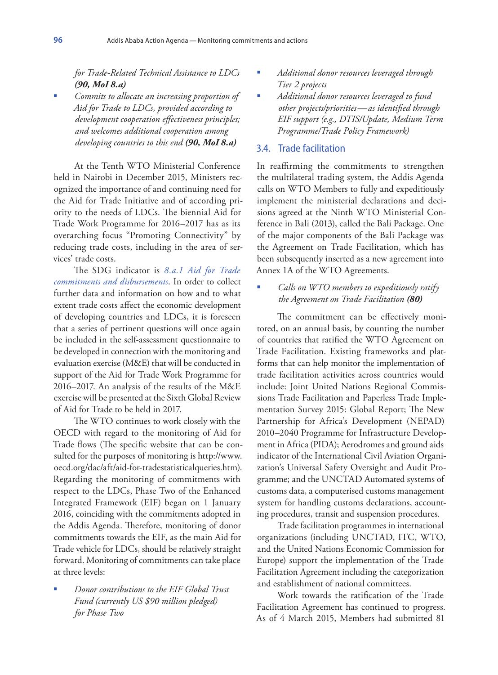*for Trade-Related Technical Assistance to LDCs (90, MoI 8.a)*

 *Commits to allocate an increasing proportion of Aid for Trade to LDCs, provided according to development cooperation effectiveness principles; and welcomes additional cooperation among developing countries to this end (90, MoI 8.a)*

At the Tenth WTO Ministerial Conference held in Nairobi in December 2015, Ministers recognized the importance of and continuing need for the Aid for Trade Initiative and of according priority to the needs of LDCs. The biennial Aid for Trade Work Programme for 2016–2017 has as its overarching focus "Promoting Connectivity" by reducing trade costs, including in the area of services' trade costs.

The SDG indicator is *8.a.1 Aid for Trade commitments and disbursements*. In order to collect further data and information on how and to what extent trade costs affect the economic development of developing countries and LDCs, it is foreseen that a series of pertinent questions will once again be included in the self-assessment questionnaire to be developed in connection with the monitoring and evaluation exercise (M&E) that will be conducted in support of the Aid for Trade Work Programme for 2016–2017. An analysis of the results of the M&E exercise will be presented at the Sixth Global Review of Aid for Trade to be held in 2017.

The WTO continues to work closely with the OECD with regard to the monitoring of Aid for Trade flows (The specific website that can be consulted for the purposes of monitoring is http://www. oecd.org/dac/aft/aid-for-tradestatisticalqueries.htm). Regarding the monitoring of commitments with respect to the LDCs, Phase Two of the Enhanced Integrated Framework (EIF) began on 1 January 2016, coinciding with the commitments adopted in the Addis Agenda. Therefore, monitoring of donor commitments towards the EIF, as the main Aid for Trade vehicle for LDCs, should be relatively straight forward. Monitoring of commitments can take place at three levels:

 *Donor contributions to the EIF Global Trust Fund (currently US \$90 million pledged) for Phase Two*

- *Additional donor resources leveraged through Tier 2 projects*
- *Additional donor resources leveraged to fund other projects/priorities—as identified through EIF support (e.g., DTIS/Update, Medium Term Programme/Trade Policy Framework)*

#### 3.4. Trade facilitation

In reaffirming the commitments to strengthen the multilateral trading system, the Addis Agenda calls on WTO Members to fully and expeditiously implement the ministerial declarations and decisions agreed at the Ninth WTO Ministerial Conference in Bali (2013), called the Bali Package. One of the major components of the Bali Package was the Agreement on Trade Facilitation, which has been subsequently inserted as a new agreement into Annex 1A of the WTO Agreements.

 *Calls on WTO members to expeditiously ratify the Agreement on Trade Facilitation (80)*

The commitment can be effectively monitored, on an annual basis, by counting the number of countries that ratified the WTO Agreement on Trade Facilitation. Existing frameworks and platforms that can help monitor the implementation of trade facilitation activities across countries would include: Joint United Nations Regional Commissions Trade Facilitation and Paperless Trade Implementation Survey 2015: Global Report; The New Partnership for Africa's Development (NEPAD) 2010–2040 Programme for Infrastructure Development in Africa (PIDA); Aerodromes and ground aids indicator of the International Civil Aviation Organization's Universal Safety Oversight and Audit Programme; and the UNCTAD Automated systems of customs data, a computerised customs management system for handling customs declarations, accounting procedures, transit and suspension procedures.

Trade facilitation programmes in international organizations (including UNCTAD, ITC, WTO, and the United Nations Economic Commission for Europe) support the implementation of the Trade Facilitation Agreement including the categorization and establishment of national committees.

Work towards the ratification of the Trade Facilitation Agreement has continued to progress. As of 4 March 2015, Members had submitted 81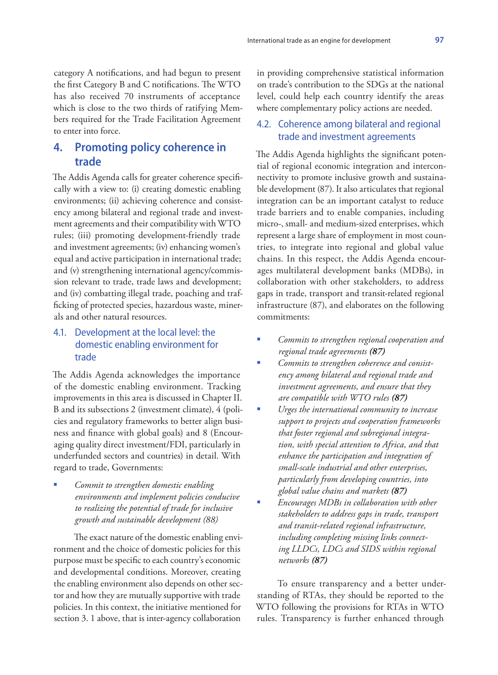category A notifications, and had begun to present the first Category B and C notifications. The WTO has also received 70 instruments of acceptance which is close to the two thirds of ratifying Members required for the Trade Facilitation Agreement to enter into force.

## **4. Promoting policy coherence in trade**

The Addis Agenda calls for greater coherence specifically with a view to: (i) creating domestic enabling environments; (ii) achieving coherence and consistency among bilateral and regional trade and investment agreements and their compatibility with WTO rules; (iii) promoting development-friendly trade and investment agreements; (iv) enhancing women's equal and active participation in international trade; and (v) strengthening international agency/commission relevant to trade, trade laws and development; and (iv) combatting illegal trade, poaching and trafficking of protected species, hazardous waste, minerals and other natural resources.

## 4.1. Development at the local level: the domestic enabling environment for trade

The Addis Agenda acknowledges the importance of the domestic enabling environment. Tracking improvements in this area is discussed in Chapter II. B and its subsections 2 (investment climate), 4 (policies and regulatory frameworks to better align business and finance with global goals) and 8 (Encouraging quality direct investment/FDI, particularly in underfunded sectors and countries) in detail. With regard to trade, Governments:

 *Commit to strengthen domestic enabling environments and implement policies conducive to realizing the potential of trade for inclusive growth and sustainable development (88)*

The exact nature of the domestic enabling environment and the choice of domestic policies for this purpose must be specific to each country's economic and developmental conditions. Moreover, creating the enabling environment also depends on other sector and how they are mutually supportive with trade policies. In this context, the initiative mentioned for section 3. 1 above, that is inter-agency collaboration

in providing comprehensive statistical information on trade's contribution to the SDGs at the national level, could help each country identify the areas where complementary policy actions are needed.

## 4.2. Coherence among bilateral and regional trade and investment agreements

The Addis Agenda highlights the significant potential of regional economic integration and interconnectivity to promote inclusive growth and sustainable development (87). It also articulates that regional integration can be an important catalyst to reduce trade barriers and to enable companies, including micro-, small- and medium-sized enterprises, which represent a large share of employment in most countries, to integrate into regional and global value chains. In this respect, the Addis Agenda encourages multilateral development banks (MDBs), in collaboration with other stakeholders, to address gaps in trade, transport and transit-related regional infrastructure (87), and elaborates on the following commitments:

- *Commits to strengthen regional cooperation and regional trade agreements (87)*
- *Commits to strengthen coherence and consistency among bilateral and regional trade and investment agreements, and ensure that they are compatible with WTO rules (87)*
- *Urges the international community to increase support to projects and cooperation frameworks that foster regional and subregional integration, with special attention to Africa, and that enhance the participation and integration of small-scale industrial and other enterprises, particularly from developing countries, into global value chains and markets (87)*
- *Encourages MDBs in collaboration with other stakeholders to address gaps in trade, transport and transit-related regional infrastructure, including completing missing links connecting LLDCs, LDCs and SIDS within regional networks (87)*

To ensure transparency and a better understanding of RTAs, they should be reported to the WTO following the provisions for RTAs in WTO rules. Transparency is further enhanced through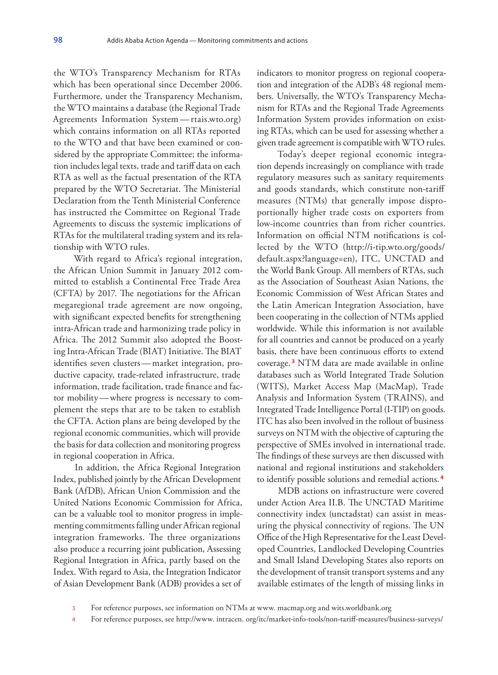the WTO's Transparency Mechanism for RTAs which has been operational since December 2006. Furthermore, under the Transparency Mechanism, the WTO maintains a database (the Regional Trade Agreements Information System—rtais.wto.org) which contains information on all RTAs reported to the WTO and that have been examined or considered by the appropriate Committee; the information includes legal texts, trade and tariff data on each RTA as well as the factual presentation of the RTA prepared by the WTO Secretariat. The Ministerial Declaration from the Tenth Ministerial Conference has instructed the Committee on Regional Trade Agreements to discuss the systemic implications of RTAs for the multilateral trading system and its relationship with WTO rules.

With regard to Africa's regional integration, the African Union Summit in January 2012 committed to establish a Continental Free Trade Area (CFTA) by 2017. The negotiations for the African megaregional trade agreement are now ongoing, with significant expected benefits for strengthening intra-African trade and harmonizing trade policy in Africa. The 2012 Summit also adopted the Boosting Intra-African Trade (BIAT) Initiative. The BIAT identifies seven clusters—market integration, productive capacity, trade-related infrastructure, trade information, trade facilitation, trade finance and factor mobility—where progress is necessary to complement the steps that are to be taken to establish the CFTA. Action plans are being developed by the regional economic communities, which will provide the basis for data collection and monitoring progress in regional cooperation in Africa.

In addition, the Africa Regional Integration Index, published jointly by the African Development Bank (AfDB), African Union Commission and the United Nations Economic Commission for Africa, can be a valuable tool to monitor progress in implementing commitments falling under African regional integration frameworks. The three organizations also produce a recurring joint publication, Assessing Regional Integration in Africa, partly based on the Index. With regard to Asia, the Integration Indicator of Asian Development Bank (ADB) provides a set of

indicators to monitor progress on regional cooperation and integration of the ADB's 48 regional members. Universally, the WTO's Transparency Mechanism for RTAs and the Regional Trade Agreements Information System provides information on existing RTAs, which can be used for assessing whether a given trade agreement is compatible with WTO rules.

Today's deeper regional economic integration depends increasingly on compliance with trade regulatory measures such as sanitary requirements and goods standards, which constitute non-tariff measures (NTMs) that generally impose disproportionally higher trade costs on exporters from low-income countries than from richer countries. Information on official NTM notifications is collected by the WTO (http://i-tip.wto.org/goods/ default.aspx?language=en), ITC, UNCTAD and the World Bank Group. All members of RTAs, such as the Association of Southeast Asian Nations, the Economic Commission of West African States and the Latin American Integration Association, have been cooperating in the collection of NTMs applied worldwide. While this information is not available for all countries and cannot be produced on a yearly basis, there have been continuous efforts to extend coverage. **<sup>3</sup>** NTM data are made available in online databases such as World Integrated Trade Solution (WITS), Market Access Map (MacMap), Trade Analysis and Information System (TRAINS), and Integrated Trade Intelligence Portal (I-TIP) on goods. ITC has also been involved in the rollout of business surveys on NTM with the objective of capturing the perspective of SMEs involved in international trade. The findings of these surveys are then discussed with national and regional institutions and stakeholders to identify possible solutions and remedial actions. **<sup>4</sup>**

MDB actions on infrastructure were covered under Action Area II.B. The UNCTAD Maritime connectivity index (unctadstat) can assist in measuring the physical connectivity of regions. The UN Office of the High Representative for the Least Developed Countries, Landlocked Developing Countries and Small Island Developing States also reports on the development of transit transport systems and any available estimates of the length of missing links in

- 3 For reference purposes, see information on NTMs at www. macmap.org and wits.worldbank.org
- 4 For reference purposes, see http://www. intracen. org/itc/market-info-tools/non-tariff-measures/business-surveys/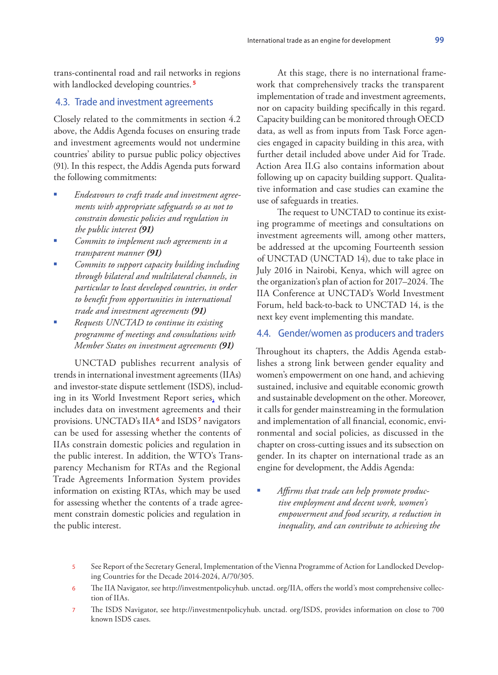trans-continental road and rail networks in regions with landlocked developing countries. **<sup>5</sup>**

#### 4.3. Trade and investment agreements

Closely related to the commitments in section 4.2 above, the Addis Agenda focuses on ensuring trade and investment agreements would not undermine countries' ability to pursue public policy objectives (91). In this respect, the Addis Agenda puts forward the following commitments:

- *Endeavours to craft trade and investment agreements with appropriate safeguards so as not to constrain domestic policies and regulation in the public interest (91)*
- *Commits to implement such agreements in a transparent manner (91)*
- *Commits to support capacity building including through bilateral and multilateral channels, in particular to least developed countries, in order to benefit from opportunities in international trade and investment agreements (91)*
- *Requests UNCTAD to continue its existing programme of meetings and consultations with Member States on investment agreements (91)*

UNCTAD publishes recurrent analysis of trends in international investment agreements (IIAs) and investor-state dispute settlement (ISDS), including in its World Investment Report series, which includes data on investment agreements and their provisions. UNCTAD's IIA**<sup>6</sup>** and ISDS **<sup>7</sup>** navigators can be used for assessing whether the contents of IIAs constrain domestic policies and regulation in the public interest. In addition, the WTO's Transparency Mechanism for RTAs and the Regional Trade Agreements Information System provides information on existing RTAs, which may be used for assessing whether the contents of a trade agreement constrain domestic policies and regulation in the public interest.

At this stage, there is no international framework that comprehensively tracks the transparent implementation of trade and investment agreements, nor on capacity building specifically in this regard. Capacity building can be monitored through OECD data, as well as from inputs from Task Force agencies engaged in capacity building in this area, with further detail included above under Aid for Trade. Action Area II.G also contains information about following up on capacity building support. Qualitative information and case studies can examine the use of safeguards in treaties.

The request to UNCTAD to continue its existing programme of meetings and consultations on investment agreements will, among other matters, be addressed at the upcoming Fourteenth session of UNCTAD (UNCTAD 14), due to take place in July 2016 in Nairobi, Kenya, which will agree on the organization's plan of action for 2017–2024. The IIA Conference at UNCTAD's World Investment Forum, held back-to-back to UNCTAD 14, is the next key event implementing this mandate.

#### 4.4. Gender/women as producers and traders

Throughout its chapters, the Addis Agenda establishes a strong link between gender equality and women's empowerment on one hand, and achieving sustained, inclusive and equitable economic growth and sustainable development on the other. Moreover, it calls for gender mainstreaming in the formulation and implementation of all financial, economic, environmental and social policies, as discussed in the chapter on cross-cutting issues and its subsection on gender. In its chapter on international trade as an engine for development, the Addis Agenda:

- *Affirms that trade can help promote productive employment and decent work, women's empowerment and food security, a reduction in inequality, and can contribute to achieving the*
- 5 See Report of the Secretary General, Implementation of the Vienna Programme of Action for Landlocked Developing Countries for the Decade 2014-2024, A/70/305.
- 6 The IIA Navigator, see http://investmentpolicyhub. unctad. org/IIA, offers the world's most comprehensive collection of IIAs.
- 7 The ISDS Navigator, see http://investmentpolicyhub. unctad. org/ISDS, provides information on close to 700 known ISDS cases.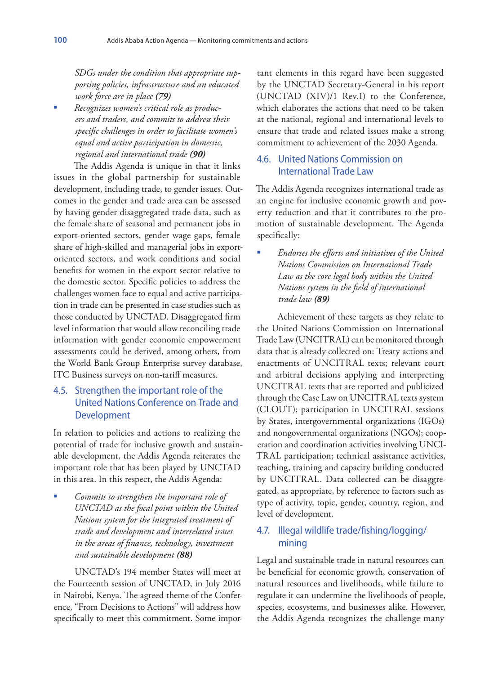*SDGs under the condition that appropriate supporting policies, infrastructure and an educated work force are in place (79)*

 *Recognizes women's critical role as producers and traders, and commits to address their specific challenges in order to facilitate women's equal and active participation in domestic, regional and international trade (90)*

The Addis Agenda is unique in that it links issues in the global partnership for sustainable development, including trade, to gender issues. Outcomes in the gender and trade area can be assessed by having gender disaggregated trade data, such as the female share of seasonal and permanent jobs in export-oriented sectors, gender wage gaps, female share of high-skilled and managerial jobs in exportoriented sectors, and work conditions and social benefits for women in the export sector relative to the domestic sector. Specific policies to address the challenges women face to equal and active participation in trade can be presented in case studies such as those conducted by UNCTAD. Disaggregated firm level information that would allow reconciling trade information with gender economic empowerment assessments could be derived, among others, from the World Bank Group Enterprise survey database, ITC Business surveys on non-tariff measures.

## 4.5. Strengthen the important role of the United Nations Conference on Trade and Development

In relation to policies and actions to realizing the potential of trade for inclusive growth and sustainable development, the Addis Agenda reiterates the important role that has been played by UNCTAD in this area. In this respect, the Addis Agenda:

 *Commits to strengthen the important role of UNCTAD as the focal point within the United Nations system for the integrated treatment of trade and development and interrelated issues in the areas of finance, technology, investment and sustainable development (88)*

UNCTAD's 194 member States will meet at the Fourteenth session of UNCTAD, in July 2016 in Nairobi, Kenya. The agreed theme of the Conference, "From Decisions to Actions" will address how specifically to meet this commitment. Some important elements in this regard have been suggested by the UNCTAD Secretary-General in his report (UNCTAD (XIV)/1 Rev.1) to the Conference, which elaborates the actions that need to be taken at the national, regional and international levels to ensure that trade and related issues make a strong commitment to achievement of the 2030 Agenda.

### 4.6. United Nations Commission on International Trade Law

The Addis Agenda recognizes international trade as an engine for inclusive economic growth and poverty reduction and that it contributes to the promotion of sustainable development. The Agenda specifically:

 *Endorses the efforts and initiatives of the United Nations Commission on International Trade Law as the core legal body within the United Nations system in the field of international trade law (89)*

Achievement of these targets as they relate to the United Nations Commission on International Trade Law (UNCITRAL) can be monitored through data that is already collected on: Treaty actions and enactments of UNCITRAL texts; relevant court and arbitral decisions applying and interpreting UNCITRAL texts that are reported and publicized through the Case Law on UNCITRAL texts system (CLOUT); participation in UNCITRAL sessions by States, intergovernmental organizations (IGOs) and nongovernmental organizations (NGOs); cooperation and coordination activities involving UNCI-TRAL participation; technical assistance activities, teaching, training and capacity building conducted by UNCITRAL. Data collected can be disaggregated, as appropriate, by reference to factors such as type of activity, topic, gender, country, region, and level of development.

## 4.7. Illegal wildlife trade/fishing/logging/ mining

Legal and sustainable trade in natural resources can be beneficial for economic growth, conservation of natural resources and livelihoods, while failure to regulate it can undermine the livelihoods of people, species, ecosystems, and businesses alike. However, the Addis Agenda recognizes the challenge many